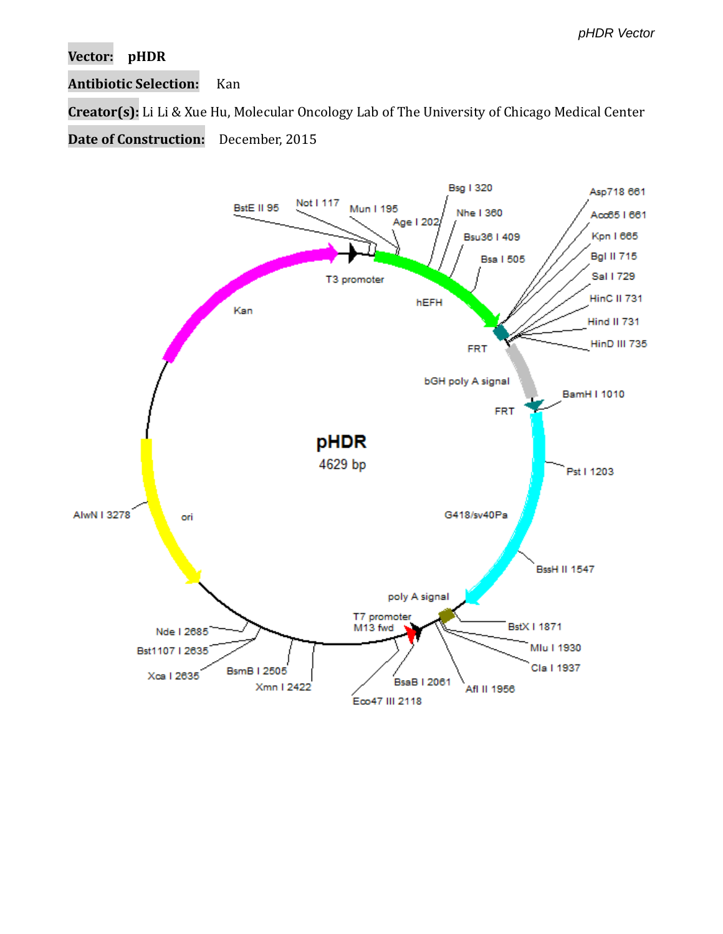## **Vector: pHDR**

## **Antibiotic Selection:** Kan

**Creator(s):** Li Li & Xue Hu, Molecular Oncology Lab of The University of Chicago Medical Center

**Date of Construction:** December, 2015

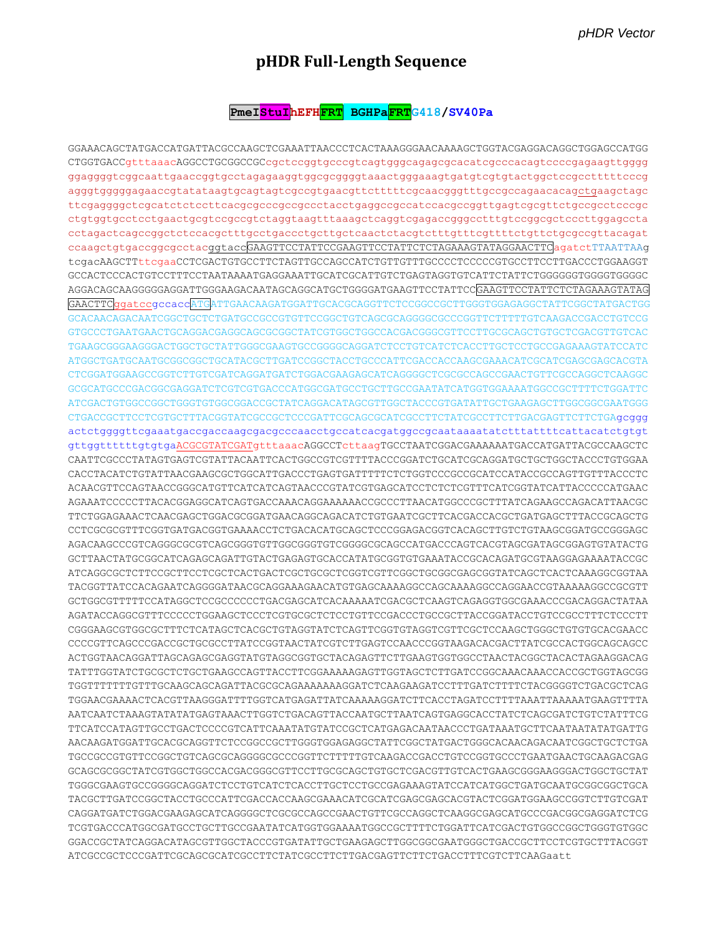## pHDR Full-Length Sequence

## PmeI<mark>StuI</mark>hEFH<mark>FRT</mark> BGHPaFRTG418/SV40Pa

GGAAACAGCTATGACCATGATTACGCCAAGCTCGAAATTAACCCTCACTAAAGGGAACAAAAGCTGGTACGAGGACAGGCTGGAGCCATGG CTGGTGACCgtttaaacAGGCCTGCGGCCGCcgctccggtgcccgtcagtgggcagagcgcacatcgcccacagtccccgagaagttgggg ggaggggtcggcaattgaaccggtgcctagagaaggtggcgcggggtaaactgggaaagtgatgtcgtgtactggctccgcctttttcccg agggtggggggagaaccgtatataagtgcagtagtcgccgtgaacgttctttttcgcaacgggtttgccgccagaacacagctgaagctagc ttcgaggggctcgcatctctccttcacgcgcccgccgcctacctgaggccgccatccacgccggttgagtcgcgttctgccgcctcccgc ctgtggtgcctcctgaactgcgtccgccgtctaggtaagtttaaagctcaggtcgagaccgggcctttgtccggcgctcccttggagccta ccaagctgtgaccggcgcctacggtaccGAAGTTCCTATTCCGAAGTTCCTATTCTCTAGAAAGTATAGGAACTTCagatctTTAATTAAg GCCACTCCCACTGTCCTTTCCTAATAAAATGAGGAAATTGCATCGCATTGTCTGAGTAGGTGTCATTCTATTCTGGGGGGTGGGGTGGGCC AGGACAGCAAGGGGGAGGATTGGGAAGACAATAGCAGGCATGCTGGGGATGAAGTTCCTATTCCGAAGTTCCTATTCTCTAGAAAGTATAG GAACTTCqqatccqccaccATGATTGAACAAGATGGATTGCACGCAGGTTCTCCGGCCGCTTGGGTGGAGAGGCTATTCGGCTATGACTGG TGAAGCGGGAAGGGACTGCCTGCTATTGGGCGAAGTGCCGGGGCAGGATCTCCTGTCATCTCACCTTGCTCCTGCCGAGAAAGTATCCATC CTCGGATGGAAGCCGGTCTTGTCGATCAGGATGATCTGGACGAAGAGCATCAGGGGCTCGCGCCAGCCGAACTGTTCGCCAGGCTCAAGGC GCGCATGCCCGACGGCGAGGATCTCGTCGTGACCCATGGCGATGCCTGCTTGCCGAATATCATGGTGGAAAATGGCCGCTTTTCTGGATTC ATCGACTGTGGCCGGCTGGGTGTGGCGGACCGCTATCAGGACATAGCGTTGGCTACCCGTGATATTGCTGAAGAGCTTGGCGGCGAATGGG CTGACCGCTTCCTCGTGCTTTACGGTATCGCCGCTCCCGATTCGCAGCGCATCGCCTTCTATCGCCTTCTTGACGAGTTCTTCTGAgcggg actctggggttcgaaatgaccgaccaagcgacgcccaacctgccatcacgatggccgcaataaaatatctttattttcattacatctgtgt gttggttttttgtgtgaACGCGTATCGATgtttaaacAGGCCTcttaagTGCCTAATCGGACGAAAAAATGACCATGATTACGCCAAGCTC CAATTCGCCCTATAGTGAGTCGTATTACAATTCACTGGCCGTCGTTTTACCCGGATCTGCATCGCAGGATGCTGCTGGCTACCCTGTGGAA CACCTACATCTGTATTAACGAAGCGCTGGCATTGACCCTGAGTGATTTTTCTCTGGTCCCGCCGCATCCATACCGCCAGTTGTTTACCCTC ACAACGTTCCAGTAACCGGGCATGTTCATCATCAGTAACCCGTATCGTGAGCATCCTCTCTCGTTTCATCGGTATCATTACCCCCATGAAC AGAAATCCCCCTTACACGGAGGCATCAGTGACCAAACAGGAAAAAACCGCCCTTAACATGGCCCGCTTTATCAGAAGCCAGACATTAACGC TTCTGGAGAAACTCAACGAGCTGGACGCGGATGAACAGGCAGACATCTGTGAATCGCTTCACGACCACGCTGATGAGCTTTACCGCAGCTG CCTCGCGCGTTTTCGGTGATGACGGTGAAAACCTCTGACACATGCAGCTCCCGGAGACGGTCACAGCTTGTCTGTAAGCGGATGCCGGAGC AGACAAGCCCGTCAGGGCGCGTCAGCGGGTGTTGGCGGGTGTCGGGGCGAGCCATGACCCAGTCACGTAGCGATAGCGGAGTGTATACTG GCTTAACTATGCGGCATCAGAGCAGATTGTACTGAGAGTGCACCATATGCGGTGTGAAATACCGCACAGATGCGTAAGGAGAAAATACCGC TACGGTTATCCACAGAATCAGGGGATAACGCAGAAAGAACATGTGAGCAAAAGGCCAGAAAGGCCAGGAACCGTAAAAAGGCCGCGTT CCTGCCCTTTTTTCCATAGCCTCCCCCCCCCTGACGAGCATAAAAAAATCGACCTTCAAGTCAGAGCTGCCGAAACCCGACAGGACTATAAA AGATACCAGGCGTTTCCCCCTGGAAGCTCCCTCGTGCGCTCTCCTGTTCCGACCCTGCCGCTTACCGGATACCTGTCCGCCTTTCTCCCTT CGGGAAGCGTGGCGCTTTCTCATAGCTCACGCTGTAGGTATCTCAGTTCGGTGTAGGTCGTTCGCTCCAAGCTGGGCTGTGTGCACGAACC CCCCGTTCAGCCCGACCGCTGCGCCTTATCCGGTAACTATCGTCTCTGAGTCCAACCCGGTAAGACACGACTTATCGCCACTGGCAGCAGCC ACTGGTAACAGGATTAGCAGAGCGAGGTATGTAGGCGGTGCTACAGAGTTCTTGAAGTGGTGGCCTAACTACACTAGAAGGACAG TGGTTTTTTTTGTTTGCAAGCAGCAGATTACGCGCAGAAAAAAAGGATCTCAAGAAGATCCTTTGATCTTTTCTACGGGGTCTGACGCTCAG TGGAACGAAAACTCACGTTAAGGGATTTTGGTCATGAGATTATCAAAAAGGATCTTCACCTAGATCCTTTTAAATTAAAAATGAAGTTTTA AATCAATCTAAAGTATATATGAGTAAACTTGGTCTGACAGTTACCAATGCTTAATCAGTGAGGCACCTATCTCAGCGATCTGTCTATTTCG TTCATCCATAGTTGCCTGACTCCCCGTCATTCAAATATGTATCCGCTCATGAGACAATAACCCTGATAAATGCTTCAATAATATGATTG GCAGCGCGGCTATCGTGGCTGGCCACGACGGCGCTTCCTTGCGCAGCTGTGCTCGACGTTGTCACTGAAGCGGGAAGGGACTGGCTGCTAT TGGGCGAAGTGCCGGGGCAGGATCTCCTGTCATCTCACCTTGCTCCTGCCGAGAAAGTATCCATCATGGCTGATGCAATGCGGCGGCTGCA CAGGATGATCTGGACGAAGAGCATCAGGGGCTCGCGCCAGCCGAACTGTTCGCCAGGCTCAAGGCGAGCATGCCCGACGGCGAGGATCTCG TCGTGACCCATGGCGATGCCTGCTTGCCGAATATCATGGTGGAAAATGGCCGCTTTTCTGGATTCATCGACTGTGGCCGGCTGGGTGTGGC GGACCGCTATCAGGACATAGCGTTGGCTACCCGTGATATTGCTGAAGAGCTTGGCGGCGAATGGGCTGACCGCTTCCTCGTGCTTTACGGT ATCGCCGCTCCCGATTCGCAGCGCATCGCCTTCTATCGCCTTCTTGACGAGTTCTTCTGACCTTTCGTCTTCAAGaatt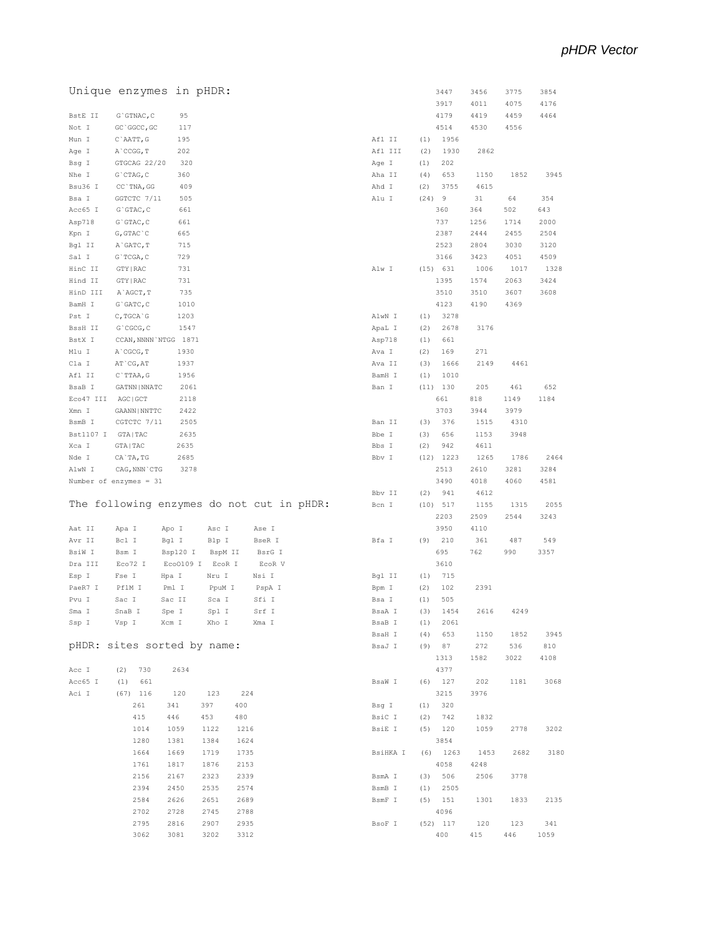|           | Unique enzymes in pHDR:                   |              |                  |              |        |          |      | 3447              | 3456       | 3775       | 3854        |  |
|-----------|-------------------------------------------|--------------|------------------|--------------|--------|----------|------|-------------------|------------|------------|-------------|--|
|           |                                           |              |                  |              |        |          |      | 3917              | 4011       | 4075       | 4176        |  |
| BstE II   | G`GTNAC, C                                | 95           |                  |              |        |          |      | 4179              | 4419       | 4459       | 4464        |  |
| Not I     | GC `GGCC, GC                              | 117          |                  |              |        |          |      | 4514              | 4530       | 4556       |             |  |
| Mun I     | C`AATT, G                                 | 195          |                  |              |        | Afl II   | (1)  | 1956              |            |            |             |  |
| Age I     | A`CCGG, T                                 | 202          |                  |              |        | Afl III  | (2)  | 1930              | 2862       |            |             |  |
| Bsg I     | GTGCAG 22/20                              | 320          |                  |              |        | Age I    | (1)  | 202               |            |            |             |  |
| Nhe I     | $G$ $CTAG$ , $C$                          | 360          |                  |              |        | Aha II   | (4)  | 653               | 1150       | 1852       | 3945        |  |
| Bsu36 I   | CC `TNA, GG                               | 409          |                  |              |        | Ahd I    | (2)  | 3755              | 4615       |            |             |  |
| Bsa I     | GGTCTC 7/11                               | 505          |                  |              |        | Alu I    | (24) | 9                 | 31         | 64         | 354         |  |
| Acc65 I   | $G$ GTAC, $C$                             | 661          |                  |              |        |          |      | 360               | 364        | 502        | 643         |  |
| Asp718    | $G$ GTAC, $C$                             | 661          |                  |              |        |          |      | 737               | 1256       | 1714       | 2000        |  |
| Kpn I     | $G, GTAC$ $C$                             | 665          |                  |              |        |          |      | 2387              | 2444       | 2455       | 2504        |  |
| Bql II    | A`GATC, T                                 | 715          |                  |              |        |          |      | 2523              | 2804       | 3030       | 3120        |  |
| Sal I     | G`TCGA, C                                 | 729          |                  |              |        |          |      | 3166              | 3423       | 4051       | 4509        |  |
| HinC II   | GTY   RAC                                 | 731          |                  |              |        | Alw I    |      | (15) 631          | 1006       | 1017       | 1328        |  |
| Hind II   | GTY   RAC                                 | 731          |                  |              |        |          |      | 1395              | 1574       | 2063       | 3424        |  |
| HinD III  | A`AGCT, T                                 | 735          |                  |              |        |          |      | 3510              | 3510       | 3607       | 3608        |  |
| BamH I    | $G$ $GATC$ , $C$                          | 1010         |                  |              |        |          |      | 4123              | 4190       | 4369       |             |  |
| Pst I     | C, TGCA G                                 | 1203         |                  |              |        | AlwN I   | (1)  | 3278              |            |            |             |  |
| BssH II   | G`CGCG, C                                 | 1547         |                  |              |        | ApaL I   | (2)  | 2678              | 3176       |            |             |  |
| BstX I    | CCAN, NNNN `NTGG 1871                     |              |                  |              |        | Asp718   | (1)  | 661               |            |            |             |  |
| Mlu I     | A`CGCG, T                                 | 1930         |                  |              |        | Ava I    | (2)  | 169               | 271        |            |             |  |
| Cla I     | AT `CG, AT                                | 1937         |                  |              |        | Ava II   | (3)  | 1666              | 2149       | 4461       |             |  |
| Afl II    | C`TTAA, G                                 | 1956         |                  |              |        | BamH I   | (1)  | 1010              |            |            |             |  |
| BsaB I    | GATNN   NNATC                             | 2061         |                  |              |        | Ban I    |      | $(11)$ 130        | 205        | 461        | 652         |  |
| Eco47 III | AGC   GCT                                 | 2118         |                  |              |        |          |      | 661               | 818        | 1149       | 1184        |  |
| Xmn I     | GAANN   NNTTC                             | 2422         |                  |              |        |          |      | 3703              | 3944       | 3979       |             |  |
| BsmB I    | CGTCTC 7/11                               | 2505         |                  |              |        | Ban II   | (3)  | 376               | 1515       | 4310       |             |  |
| Bst1107 I | GTA   TAC                                 | 2635         |                  |              |        | Bbe I    | (3)  | 656               | 1153       | 3948       |             |  |
| Xca I     | GTA   TAC                                 | 2635         |                  |              |        | Bbs I    | (2)  | 942               | 4611       |            |             |  |
| Nde I     | CA`TA, TG                                 | 2685         |                  |              |        | Bbv I    |      | $(12)$ 1223       | 1265       | 1786       | 2464        |  |
| AlwN I    | CAG, NNN `CTG                             | 3278         |                  |              |        |          |      | 2513              | 2610       | 3281       | 3284        |  |
|           | Number of enzymes = 31                    |              |                  |              |        |          |      | 3490<br>941       | 4018       | 4060       | 4581        |  |
|           |                                           |              |                  |              |        |          |      |                   |            |            |             |  |
|           |                                           |              |                  |              |        | Bbv II   | (2)  |                   | 4612       |            |             |  |
|           | The following enzymes do not cut in pHDR: |              |                  |              |        | Bcn I    |      | (10) 517          | 1155       | 1315       | 2055        |  |
|           |                                           |              |                  |              |        |          |      | 2203              | 2509       | 2544       | 3243        |  |
| Aat II    | Apa I                                     | Apo I        | Asc I            | Ase I        |        |          |      | 3950              | 4110       |            |             |  |
| Avr II    | Bcl I                                     | Bgl I        | Blp I            | BseR I       |        | Bfa I    | (9)  | 210               | 361        | 487        | 549         |  |
| BsiW I    | Bsm I                                     | Bsp120 I     | BspM II          |              | BsrG I |          |      | 695               | 762        | 990        | 3357        |  |
| Dra III   | Eco72 I                                   |              | Eco0109 I EcoR I |              | ECOR V |          |      | 3610              |            |            |             |  |
| Esp I     | Fse I<br>Hpa I                            |              | Nru I            | Nsi I        |        | Bgl II   | (1)  | 715               |            |            |             |  |
| PaeR7 I   | PflM I                                    | Pml I        | PpuM I           |              | PspA I | Bpm I    | (2)  | 102               | 2391       |            |             |  |
| Pvu I     | Sac I                                     | Sac II       | Sca I            | Sfi I        |        | Bsa I    | (1)  | 505               |            |            |             |  |
| Sma I     | SnaB I                                    | Spe I        | Spl I            | Srf I        |        | BsaA I   | (3)  | 1454              | 2616       | 4249       |             |  |
| Ssp I     | Vsp I<br>Xcm I                            |              | Xho I            | Xma I        |        | BsaB I   | (1)  | 2061              |            |            |             |  |
|           |                                           |              |                  |              |        | BsaH I   | (4)  | 653               | 1150       | 1852       | 3945        |  |
|           | pHDR: sites sorted by name:               |              |                  |              |        | BsaJ I   |      | $(9)$ 87          | 272        | 536        | 810         |  |
|           |                                           |              |                  |              |        |          |      | 1313              | 1582       | 3022       | 4108        |  |
| Acc I     | (2) 730                                   | 2634         |                  |              |        |          |      | 4377              |            |            |             |  |
| Acc65 I   | (1) 661                                   |              |                  |              |        | BsaW I   |      | $(6)$ 127         | 202        | 1181       | 3068        |  |
| Aci I     | $(67)$ 116                                | 120          | 123              | 224          |        |          |      | 3215              | 3976       |            |             |  |
|           | 261                                       | 341          | 397              | 400          |        | Bsg I    |      | (1) 320           |            |            |             |  |
|           | 415                                       | 446          | 453              | 480          |        | BsiC I   |      | (2) 742           | 1832       |            |             |  |
|           | 1014                                      | 1059         | 1122             | 1216         |        | BsiE I   |      | $(5)$ 120         | 1059       | 2778       | 3202        |  |
|           | 1280                                      | 1381         | 1384             | 1624         |        |          |      | 3854              |            |            |             |  |
|           | 1664                                      | 1669         | 1719             | 1735         |        | BsiHKA I |      | $(6)$ 1263        | 1453       | 2682       | 3180        |  |
|           | 1761                                      | 1817         | 1876             | 2153         |        |          |      | 4058              | 4248       |            |             |  |
|           | 2156                                      | 2167         | 2323             | 2339         |        | BsmA I   |      | (3) 506           | 2506       | 3778       |             |  |
|           | 2394                                      | 2450         | 2535             | 2574         |        | BsmB I   |      | $(1)$ 2505        |            |            |             |  |
|           | 2584                                      | 2626         | 2651             | 2689         |        | BsmF I   |      | $(5)$ 151<br>4096 | 1301       | 1833       | 2135        |  |
|           | 2702                                      | 2728         | 2745             | 2788         |        |          |      |                   |            |            |             |  |
|           | 2795<br>3062                              | 2816<br>3081 | 2907<br>3202     | 2935<br>3312 |        | BsoF I   |      | $(52)$ 117<br>400 | 120<br>415 | 123<br>446 | 341<br>1059 |  |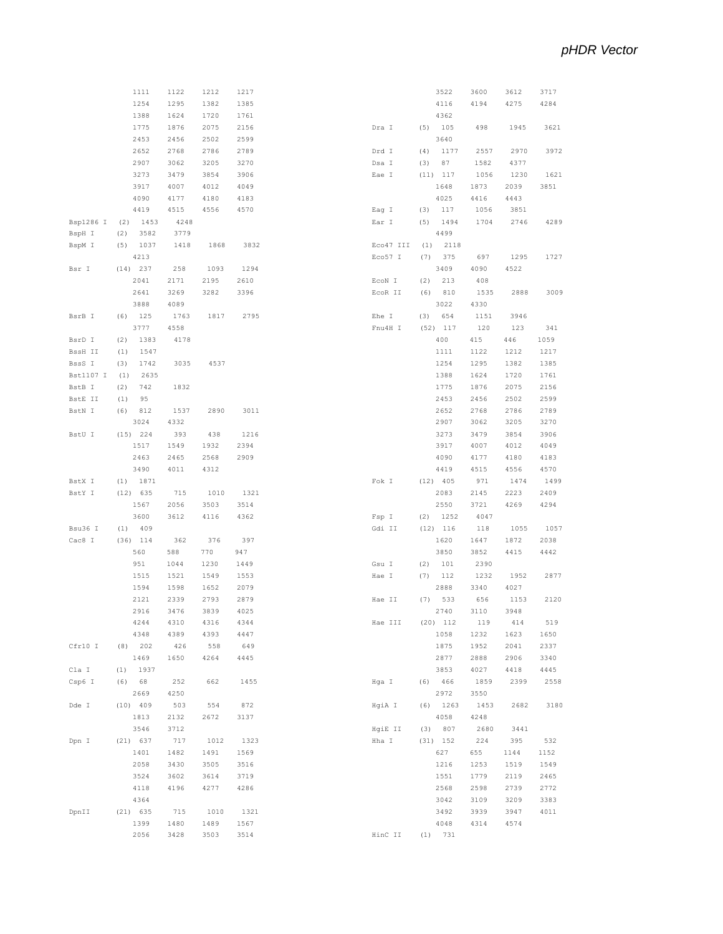|           | 1111        | 1122 | 1212 | 1217 |           |     | 3522       | 3600 | 3612 | 3717 |
|-----------|-------------|------|------|------|-----------|-----|------------|------|------|------|
|           | 1254        | 1295 | 1382 | 1385 |           |     | 4116       | 4194 | 4275 | 4284 |
|           | 1388        | 1624 | 1720 | 1761 |           |     | 4362       |      |      |      |
|           | 1775        | 1876 | 2075 | 2156 | Dra I     | (5) | 105        | 498  | 1945 | 3621 |
|           |             |      |      |      |           |     |            |      |      |      |
|           | 2453        | 2456 | 2502 | 2599 |           |     | 3640       |      |      |      |
|           | 2652        | 2768 | 2786 | 2789 | Drd I     | (4) | 1177       | 2557 | 2970 | 3972 |
|           | 2907        | 3062 | 3205 | 3270 | Dsa I     | (3) | 87         | 1582 | 4377 |      |
|           | 3273        | 3479 | 3854 | 3906 | Eae I     |     | $(11)$ 117 | 1056 | 1230 | 1621 |
|           | 3917        | 4007 | 4012 | 4049 |           |     | 1648       | 1873 | 2039 | 3851 |
|           | 4090        | 4177 | 4180 | 4183 |           |     | 4025       | 4416 | 4443 |      |
|           | 4419        | 4515 | 4556 | 4570 |           | (3) | 117        | 1056 | 3851 |      |
|           |             |      |      |      | Eag I     |     |            |      |      |      |
| Bsp1286 I | 1453<br>(2) | 4248 |      |      | Ear I     | (5) | 1494       | 1704 | 2746 | 4289 |
| BspH I    | (2)<br>3582 | 3779 |      |      |           |     | 4499       |      |      |      |
| BspM I    | 1037<br>(5) | 1418 | 1868 | 3832 | Eco47 III | (1) | 2118       |      |      |      |
|           | 4213        |      |      |      | Eco57 I   | (7) | 375        | 697  | 1295 | 1727 |
| Bsr I     | $(14)$ 237  | 258  | 1093 | 1294 |           |     | 3409       | 4090 | 4522 |      |
|           | 2041        | 2171 | 2195 | 2610 | ECON I    | (2) | 213        | 408  |      |      |
|           | 2641        | 3269 | 3282 | 3396 | ECOR II   | (6) | 810        | 1535 | 2888 | 3009 |
|           |             |      |      |      |           |     |            |      |      |      |
|           | 3888        | 4089 |      |      |           |     | 3022       | 4330 |      |      |
| BsrB I    | 125<br>(6)  | 1763 | 1817 | 2795 | Ehe I     | (3) | 654        | 1151 | 3946 |      |
|           | 3777        | 4558 |      |      | Fnu4H I   |     | $(52)$ 117 | 120  | 123  | 341  |
| BsrD I    | 1383<br>(2) | 4178 |      |      |           |     | 400        | 415  | 446  | 1059 |
| BssH II   | 1547<br>(1) |      |      |      |           |     | 1111       | 1122 | 1212 | 1217 |
| BssS I    | 1742<br>(3) | 3035 | 4537 |      |           |     | 1254       | 1295 | 1382 | 1385 |
| Bst1107 I | 2635<br>(1) |      |      |      |           |     | 1388       | 1624 | 1720 | 1761 |
| BstB I    | (2)<br>742  | 1832 |      |      |           |     | 1775       | 1876 | 2075 | 2156 |
|           |             |      |      |      |           |     |            |      |      |      |
| BstE II   | (1)<br>95   |      |      |      |           |     | 2453       | 2456 | 2502 | 2599 |
| BstN I    | (6)<br>812  | 1537 | 2890 | 3011 |           |     | 2652       | 2768 | 2786 | 2789 |
|           | 3024        | 4332 |      |      |           |     | 2907       | 3062 | 3205 | 3270 |
| BstU I    | $(15)$ 224  | 393  | 438  | 1216 |           |     | 3273       | 3479 | 3854 | 3906 |
|           | 1517        | 1549 | 1932 | 2394 |           |     | 3917       | 4007 | 4012 | 4049 |
|           | 2463        | 2465 | 2568 | 2909 |           |     | 4090       | 4177 | 4180 | 4183 |
|           | 3490        | 4011 | 4312 |      |           |     | 4419       | 4515 | 4556 | 4570 |
| BstX I    | 1871<br>(1) |      |      |      | Fok I     |     | $(12)$ 405 | 971  | 1474 | 1499 |
|           |             |      |      |      |           |     |            |      |      |      |
| BstY I    | $(12)$ 635  | 715  | 1010 | 1321 |           |     | 2083       | 2145 | 2223 | 2409 |
|           | 1567        | 2056 | 3503 | 3514 |           |     | 2550       | 3721 | 4269 | 4294 |
|           | 3600        | 3612 | 4116 | 4362 | Fsp I     | (2) | 1252       | 4047 |      |      |
| Bsu36 I   | (1)<br>409  |      |      |      | Gdi II    |     | $(12)$ 116 | 118  | 1055 | 1057 |
| Cac8 I    | $(36)$ 114  | 362  | 376  | 397  |           |     | 1620       | 1647 | 1872 | 2038 |
|           | 560         | 588  | 770  | 947  |           |     | 3850       | 3852 | 4415 | 4442 |
|           | 951         | 1044 | 1230 | 1449 | Gsu I     | (2) | 101        | 2390 |      |      |
|           | 1515        | 1521 | 1549 | 1553 | Hae I     | (7) | 112        | 1232 | 1952 | 2877 |
|           |             |      |      |      |           |     |            |      |      |      |
|           | 1594        | 1598 | 1652 | 2079 |           |     | 2888       | 3340 | 4027 |      |
|           | 2121        | 2339 | 2793 | 2879 | Hae II    | (7) | 533        | 656  | 1153 | 2120 |
|           | 2916        | 3476 | 3839 | 4025 |           |     | 2740       | 3110 | 3948 |      |
|           | 4244        | 4310 | 4316 | 4344 | Hae III   |     | $(20)$ 112 | 119  | 414  | 519  |
|           | 4348        | 4389 | 4393 | 4447 |           |     | 1058       | 1232 | 1623 | 1650 |
| Cfr10 I   | $(8)$ 202   | 426  | 558  | 649  |           |     | 1875       | 1952 | 2041 | 2337 |
|           | 1469        | 1650 | 4264 | 4445 |           |     | 2877       | 2888 | 2906 | 3340 |
| Cla I     | $(1)$ 1937  |      |      |      |           |     | 3853       | 4027 | 4418 | 4445 |
|           |             |      |      |      |           |     |            |      |      |      |
| Csp6 I    | (6) 68      | 252  | 662  | 1455 | Hga I     |     | (6) 466    | 1859 | 2399 | 2558 |
|           | 2669        | 4250 |      |      |           |     | 2972       | 3550 |      |      |
| Dde I     | $(10)$ 409  | 503  | 554  | 872  | HgiA I    |     | $(6)$ 1263 | 1453 | 2682 | 3180 |
|           | 1813        | 2132 | 2672 | 3137 |           |     | 4058       | 4248 |      |      |
|           | 3546        | 3712 |      |      | HgiE II   |     | (3) 807    | 2680 | 3441 |      |
| Dpn I     | $(21)$ 637  | 717  | 1012 | 1323 | Hha I     |     | $(31)$ 152 | 224  | 395  | 532  |
|           | 1401        | 1482 | 1491 | 1569 |           |     | 627        | 655  | 1144 | 1152 |
|           | 2058        | 3430 | 3505 | 3516 |           |     | 1216       | 1253 | 1519 | 1549 |
|           |             |      |      |      |           |     |            |      |      |      |
|           | 3524        | 3602 | 3614 | 3719 |           |     | 1551       | 1779 | 2119 | 2465 |
|           | 4118        | 4196 | 4277 | 4286 |           |     | 2568       | 2598 | 2739 | 2772 |
|           | 4364        |      |      |      |           |     | 3042       | 3109 | 3209 | 3383 |
| DpnII     | $(21)$ 635  | 715  | 1010 | 1321 |           |     | 3492       | 3939 | 3947 | 4011 |
|           | 1399        | 1480 | 1489 | 1567 |           |     | 4048       | 4314 | 4574 |      |
|           | 2056        | 3428 | 3503 | 3514 | HinC II   |     | (1) 731    |      |      |      |
|           |             |      |      |      |           |     |            |      |      |      |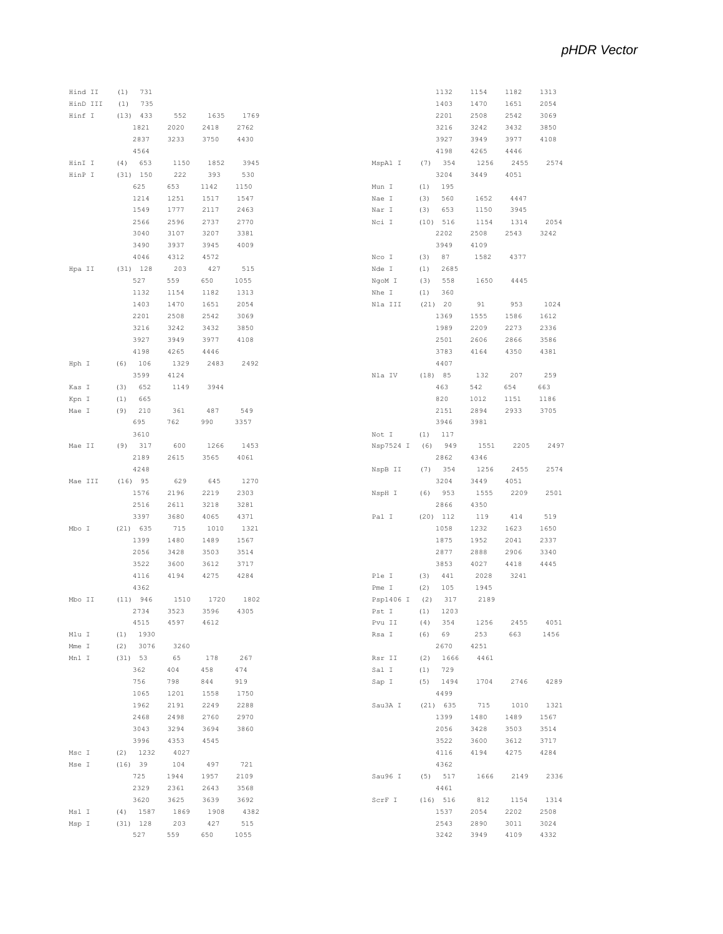| Hind II  | 731<br>(1)         |      |      |             |                 |     | 1132       | 1154 | 1182 | 1313         |
|----------|--------------------|------|------|-------------|-----------------|-----|------------|------|------|--------------|
| HinD III | (1)<br>735         |      |      |             |                 |     | 1403       | 1470 | 1651 | 2054         |
| Hinf I   | $(13)$ 433         | 552  | 1635 | 1769        |                 |     | 2201       | 2508 | 2542 | 3069         |
|          | 1821               | 2020 | 2418 | 2762        |                 |     | 3216       | 3242 | 3432 | 3850         |
|          | 2837               | 3233 | 3750 | 4430        |                 |     | 3927       | 3949 | 3977 | 4108         |
|          |                    |      |      |             |                 |     |            |      |      |              |
|          | 4564               |      |      |             |                 |     | 4198       | 4265 | 4446 |              |
| HinI I   | 653<br>(4)         | 1150 | 1852 | 3945        | MspA1 I         | (7) | 354        | 1256 | 2455 | 2574         |
| HinP I   | $(31)$ 150         | 222  | 393  | 530         |                 |     | 3204       | 3449 | 4051 |              |
|          | 625                | 653  | 1142 | 1150        | Mun I           | (1) | 195        |      |      |              |
|          | 1214               | 1251 | 1517 | 1547        | Nae I           | (3) | 560        | 1652 | 4447 |              |
|          | 1549               | 1777 | 2117 | 2463        | Nar I           | (3) | 653        | 1150 | 3945 |              |
|          | 2566               | 2596 | 2737 | 2770        | Nci I           |     | $(10)$ 516 | 1154 | 1314 | 2054         |
|          | 3040               | 3107 | 3207 | 3381        |                 |     | 2202       | 2508 | 2543 | 3242         |
|          |                    |      |      |             |                 |     |            |      |      |              |
|          | 3490               | 3937 | 3945 | 4009        |                 |     | 3949       | 4109 |      |              |
|          | 4046               | 4312 | 4572 |             | Nco I           | (3) | 87         | 1582 | 4377 |              |
| Hpa II   | $(31)$ 128         | 203  | 427  | 515         | Nde I           | (1) | 2685       |      |      |              |
|          | 527                | 559  | 650  | 1055        | NgoM I          | (3) | 558        | 1650 | 4445 |              |
|          | 1132               | 1154 | 1182 | 1313        | Nhe I           | (1) | 360        |      |      |              |
|          | 1403               | 1470 | 1651 | 2054        | Nla III         |     | (21) 20    | 91   | 953  | 1024         |
|          | 2201               | 2508 | 2542 | 3069        |                 |     | 1369       | 1555 | 1586 | 1612         |
|          | 3216               | 3242 | 3432 | 3850        |                 |     | 1989       | 2209 | 2273 | 2336         |
|          | 3927               | 3949 | 3977 | 4108        |                 |     | 2501       | 2606 | 2866 | 3586         |
|          |                    |      |      |             |                 |     |            |      |      |              |
|          | 4198               | 4265 | 4446 |             |                 |     | 3783       | 4164 | 4350 | 4381         |
| Hph I    | $(6)$ 106          | 1329 | 2483 | 2492        |                 |     | 4407       |      |      |              |
|          | 3599               | 4124 |      |             | Nla IV          |     | (18) 85    | 132  | 207  | 259          |
| Kas I    | (3)<br>652         | 1149 | 3944 |             |                 |     | 463        | 542  | 654  | 663          |
| Kpn I    | 665<br>(1)         |      |      |             |                 |     | 820        | 1012 | 1151 | 1186         |
| Mae I    | 210<br>(9)         | 361  | 487  | 549         |                 |     | 2151       | 2894 | 2933 | 3705         |
|          | 695                | 762  | 990  | 3357        |                 |     | 3946       | 3981 |      |              |
|          | 3610               |      |      |             | Not I           | (1) | 117        |      |      |              |
|          |                    |      |      |             |                 |     |            |      |      |              |
| Mae II   | (9) 317            | 600  | 1266 | 1453        | Nsp7524 I       | (6) | 949        | 1551 | 2205 | 2497         |
|          | 2189               | 2615 | 3565 | 4061        |                 |     | 2862       | 4346 |      |              |
|          | 4248               |      |      |             | NspB II         | (7) | 354        | 1256 | 2455 | 2574         |
| Mae III  | $(16)$ 95          | 629  | 645  | 1270        |                 |     | 3204       | 3449 | 4051 |              |
|          | 1576               | 2196 | 2219 | 2303        | NspH I          | (6) | 953        | 1555 | 2209 | 2501         |
|          | 2516               | 2611 | 3218 | 3281        |                 |     | 2866       | 4350 |      |              |
|          | 3397               | 3680 | 4065 | 4371        | Pal I           |     | $(20)$ 112 | 119  | 414  | 519          |
| Mbo I    | $(21)$ 635         | 715  | 1010 | 1321        |                 |     | 1058       | 1232 | 1623 | 1650         |
|          | 1399               | 1480 | 1489 | 1567        |                 |     | 1875       | 1952 | 2041 | 2337         |
|          |                    |      |      |             |                 |     |            |      |      |              |
|          | 2056               |      |      | 3514        |                 |     |            |      |      |              |
|          |                    | 3428 | 3503 |             |                 |     | 2877       | 2888 | 2906 | 3340         |
|          | 3522               | 3600 | 3612 | 3717        |                 |     | 3853       | 4027 | 4418 | 4445         |
|          | 4116               | 4194 | 4275 | 4284        | Ple I           | (3) | 441        | 2028 | 3241 |              |
|          | 4362               |      |      |             | Pme I           | (2) | 105        | 1945 |      |              |
| Mbo II   | (11) 946           | 1510 | 1720 | 1802        | Psp1406 I       | (2) | 317        | 2189 |      |              |
|          | 2734               | 3523 | 3596 | 4305        | Pst I           | (1) | 1203       |      |      |              |
|          |                    |      | 4612 |             |                 |     |            |      | 2455 | 4051         |
|          | 4515<br>$(1)$ 1930 | 4597 |      |             | $\mbox{Pvu}$ II | (4) | 354        | 1256 |      |              |
| Mlu I    |                    |      |      |             | Rsa I           |     | (6) 69     | 253  | 663  | 1456         |
| Mme I    | 3076<br>(2)        | 3260 |      |             |                 |     | 2670       | 4251 |      |              |
| Mnl I    | (31) 53            | 65   | 178  | 267         | Rsr II          |     | $(2)$ 1666 | 4461 |      |              |
|          | 362                | 404  | 458  | 474         | Sal I           |     | $(1)$ 729  |      |      |              |
|          | 756                | 798  | 844  | 919         | Sap I           |     | $(5)$ 1494 | 1704 | 2746 | 4289         |
|          | 1065               | 1201 | 1558 | 1750        |                 |     | 4499       |      |      |              |
|          | 1962               | 2191 | 2249 | 2288        | Sau3A I         |     | $(21)$ 635 | 715  | 1010 | 1321         |
|          | 2468               | 2498 | 2760 | 2970        |                 |     | 1399       | 1480 | 1489 | 1567         |
|          | 3043               | 3294 |      | 3860        |                 |     | 2056       | 3428 | 3503 |              |
|          |                    |      | 3694 |             |                 |     |            |      |      | 3514         |
|          | 3996               | 4353 | 4545 |             |                 |     | 3522       | 3600 | 3612 | 3717         |
| Msc I    | $(2)$ 1232         | 4027 |      |             |                 |     | 4116       | 4194 | 4275 | 4284         |
| Mse I    | (16) 39            | 104  | 497  | 721         |                 |     | 4362       |      |      |              |
|          | 725                | 1944 | 1957 | 2109        | Sau96 I         |     | $(5)$ 517  | 1666 | 2149 | 2336         |
|          | 2329               | 2361 | 2643 | 3568        |                 |     | 4461       |      |      |              |
|          | 3620               | 3625 | 3639 | 3692        | ScrF I          |     | (16) 516   | 812  | 1154 | 1314         |
| Msl I    | $(4)$ 1587         | 1869 | 1908 | 4382        |                 |     | 1537       | 2054 | 2202 | 2508         |
| Msp I    |                    | 203  | 427  |             |                 |     | 2543       | 2890 | 3011 |              |
|          | $(31)$ 128<br>527  | 559  | 650  | 515<br>1055 |                 |     | 3242       | 3949 | 4109 | 3024<br>4332 |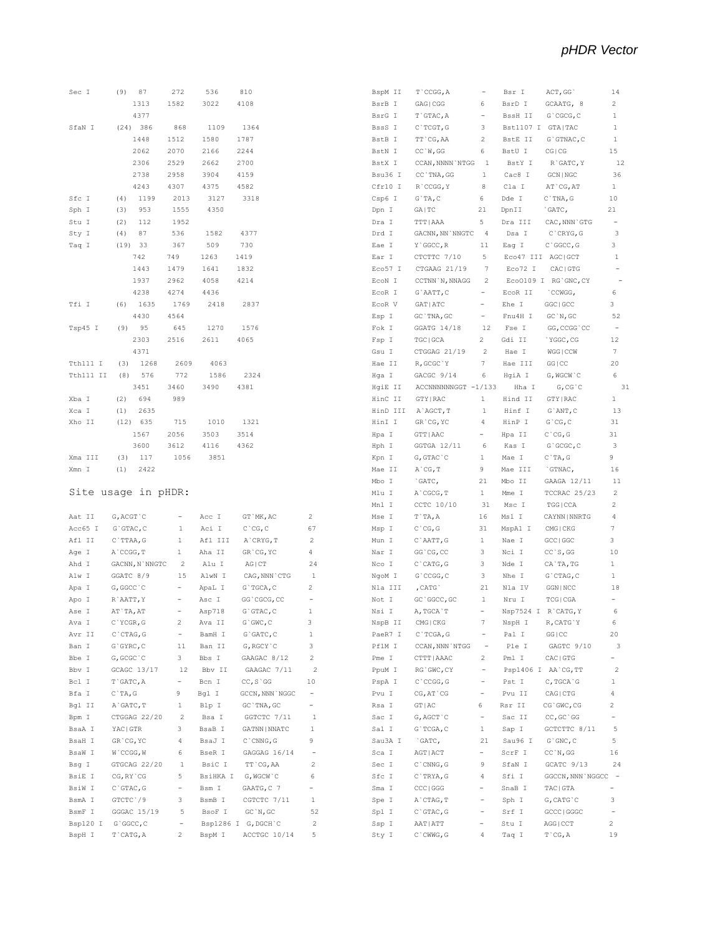|                    | Sec I (9) 87                | 272             | 536                    | 810                                      |                |
|--------------------|-----------------------------|-----------------|------------------------|------------------------------------------|----------------|
|                    | 1313                        | 1582            | 3022                   | 4108                                     |                |
|                    | 4377                        |                 |                        |                                          |                |
|                    | SfaN I (24) 386             | 868             | 1109                   | 1364                                     |                |
|                    | 1448                        | 1512            | 1580                   | 1787                                     |                |
|                    | 2062                        | 2070            | 2166 2244              |                                          |                |
|                    | 2306                        | 2529            | 2662                   | 2700                                     |                |
|                    | 2738                        | 2958            | 3904                   | 4159                                     |                |
|                    |                             |                 | 4243 4307 4375 4582    |                                          |                |
| Sfc I              | $(4)$ 1199                  | 2013            | 3127 3318              |                                          |                |
| Sph I              | (3)<br>953                  | 1555            | 4350                   |                                          |                |
| Stu I              | $(2)$ 112                   | 1952            |                        |                                          |                |
| Sty I              | $(4)$ 87                    | 536             | 1582                   | 4377                                     |                |
| Taq I              | (19) 33                     | 367             | 509                    | 730                                      |                |
|                    | 742                         | 749             | 1263 1419              |                                          |                |
|                    | 1443                        | 1479            | 1641                   | 1832                                     |                |
|                    | 1937                        | 2962            | 4058                   | 4214                                     |                |
|                    |                             | 4238 4274 4436  |                        |                                          |                |
|                    | Tfi I (6) 1635              |                 | 1769 2418 2837         |                                          |                |
|                    | 4430                        | 4564            |                        |                                          |                |
|                    | Tsp45 I (9) 95              |                 | 645 1270 1576          |                                          |                |
|                    |                             |                 | 2303 2516 2611 4065    |                                          |                |
|                    | 4371                        |                 |                        |                                          |                |
|                    | Tth111 I (3) 1268 2609 4063 |                 |                        |                                          |                |
|                    |                             | 772             | 1586                   | 2324                                     |                |
|                    | Tth111 II (8) 576<br>3451   | 3460            | 3490 4381              |                                          |                |
|                    | Xba I (2) 694               | 989             |                        |                                          |                |
|                    | $(1)$ 2635                  |                 |                        |                                          |                |
| Xca I<br>Xho II    | $(12)$ 635                  |                 | 715 1010               | 1321                                     |                |
|                    |                             |                 |                        |                                          |                |
|                    |                             |                 | 1567 2056 3503 3514    |                                          |                |
|                    | 3600                        |                 | 3612 4116 4362<br>3851 |                                          |                |
| Xma III (3)        | 117                         | 1056            |                        |                                          |                |
|                    |                             |                 |                        |                                          |                |
|                    | Xmn I (1) 2422              |                 |                        |                                          |                |
|                    |                             |                 |                        |                                          |                |
|                    | Site usage in pHDR:         |                 |                        |                                          |                |
|                    |                             |                 |                        |                                          |                |
| Aat II             | G, ACGT`C                   | $\alpha=1$      | Acc I                  | GT`MK,AC                                 | -2             |
| Acc65 I            | G`GTAC, C                   | $\mathbf{1}$    | Aci I                  | C`CG, C                                  | 67             |
|                    | Afl II C`TTAA, G            |                 |                        | 1 Afl III A'CRYG, T                      | $\overline{2}$ |
| Age I              | A`CCGG, T                   | $1$ $\_$        | Aha II                 | GR`CG, YC                                | 4              |
| Ahd I              | GACNN, N`NNGTC              | $\overline{2}$  | Alu I                  | AG CT                                    | 24             |
|                    |                             |                 |                        | Alw I GGATC 8/9 15 AlwN I CAG, NNN CTG 1 |                |
| Apa I              | G, GGCC`C                   | $\alpha = 0.01$ | ApaL I                 | G`TGCA, C                                | 2              |
| Apo I              | R`AATT, Y                   | $\sim$          | Asc I                  | GG`CGCG, CC                              | $\equiv$       |
| Ase I              | AT`TA, AT                   |                 |                        | - Asp718 G`GTAC, C                       | 1              |
| Ava I              | C`YCGR, G                   | 2               | Ava II                 | $G$ $GWC$ , $C$                          | 3              |
| Avr II             | $C$ $CTAG, G$               | $\equiv$        | BamH I                 | $G$ $GATC$ , $C$                         | $\mathbf{1}$   |
| Ban I              | $G$ $GYRC$ , $C$            | 11              | Ban II                 | G, RGCY `C                               | 3              |
| Bbe I              | G, GCGC `C                  | $3 -$           | Bbs I                  | GAAGAC 8/12                              | 2              |
| Bbv I              | GCAGC 13/17                 | 12              | Bbv II                 | GAAGAC 7/11                              | $\overline{2}$ |
| Bcl I              | T`GATC, A                   | $\frac{1}{2}$   | Bcn I                  | $CC, S$ GG                               | 10             |
| Bfa I              | $C$ $TA$ , $G$              | 9               | Bgl I                  | GCCN, NNN `NGGC                          | $\frac{1}{2}$  |
| Bgl II             | A`GATC, T                   | $\mathbf{1}$    | Blp I                  | GC `TNA, GC                              |                |
| Bpm I              | CTGGAG 22/20                | $\overline{2}$  | Bsa I                  | GGTCTC 7/11                              | <sup>1</sup>   |
| BsaA I             | YAC   GTR                   | 3               | BsaB I                 | GATNN   NNATC                            | $\mathbf{1}$   |
| BsaH I             | GR'CG, YC                   | 4               | BsaJ I                 | $C$ $\cap$ $CNNG$ , $G$                  | 9              |
| BsaW I             | W`CCGG, W                   | 6               | BseR I                 | GAGGAG 16/14                             |                |
| Bsg I              | GTGCAG 22/20                | 1               | BsiC I                 | TT `CG, AA                               | 2              |
| BsiE I             | CG, RY `CG                  | 5               |                        | BsiHKA I G, WGCW C                       | 6              |
| BsiW I             | $C$ GTAC, G                 | $\equiv$ .      | Bsm I                  | GAATG, C 7                               |                |
| BsmA I             | GTCTC '/9                   | 3               | BsmB I                 | CGTCTC 7/11                              | 1              |
| BsmF I             | GGGAC 15/19                 | -5              | BsoF I                 | GC'N, GC                                 | 52             |
| Bsp120 I<br>BspH I | G`GGCC, C<br>T`CATG, A      | 2               | BspM I                 | Bsp1286 I G, DGCH C<br>ACCTGC 10/14      | 2<br>5         |

| BspM II  | T`CCGG, A           |                  | Bsr I             | ACT, GG                    | 14           |
|----------|---------------------|------------------|-------------------|----------------------------|--------------|
| BsrB I   | GAG   CGG           | 6                | BsrD I            | GCAATG, 8                  | 2            |
| BsrG I   | T`GTAC, A           |                  | BssH II           | G`CGCG, C                  | 1            |
| BssS I   | C`TCGT, G           | 3                | Bst1107 I         | GTA   TAC                  | 1            |
| BstB I   | TT CG, AA           | 2                | BstE II           | G`GTNAC, C                 | 1            |
| BstN I   | CC'W, GG            | 6                | BstU I            | CG   CG                    | 15           |
| BstX I   | CCAN, NNNN `NTGG    | $\overline{1}$   | BstY I            | R`GATC, Y                  | 12           |
|          |                     |                  |                   |                            |              |
| Bsu36 I  | CC `TNA, GG         | 1                | Cac8 I            | GCN   NGC                  | 36           |
| Cfr10 I  | R`CCGG, Y           | 8                | Cla I             | AT CG, AT                  | 1            |
| Csp6 I   | $G$ TA, $C$         | 6                | Dde I             | $C$ TNA, $G$               | 10           |
| Dpn I    | GA   TC             | 21               | DpnII             | `GATC,                     | 21           |
| Dra I    | TTT   AAA           | 5                | Dra III           | CAC, NNN `GTG              |              |
| Drd I    | GACNN, NN `NNGTC    | $\overline{4}$   | Dsa I             | $C$ $CRYG$ , $G$           | 3            |
| Eae I    | Y`GGCC, R           | 11               | Eag I             | $C$ $GGCC, G$              | 3            |
| Ear I    | CTCTTC 7/10         | 5                | Eco47 III AGC GCT |                            | $\mathbf{1}$ |
|          |                     |                  |                   |                            |              |
| Eco57 I  | CTGAAG 21/19        | -7               | Eco72 I           | CAC   GTG                  |              |
| ECON I   | CCTNN`N, NNAGG      | $\overline{2}$   |                   | Eco0109 I RG'GNC, CY       |              |
| ECOR I   | G`AATT, C           |                  | ECOR II           | CCWGG,                     | 6            |
| EcoR V   | GAT   ATC           | Ξ.               | Ehe I             | GGC   GCC                  | 3            |
| Esp I    | GC `TNA, GC         | Ξ.               | Fnu4H I           | GC'N, GC                   | 52           |
| Fok I    | GGATG 14/18         | 12               | Fse I             | GG, CCGG `CC               |              |
| Fsp I    | TGC   GCA           | $\mathbf{2}$     | Gdi II            | `YGGC, CG                  | 12           |
| Gsu I    | CTGGAG 21/19        | - 2              | Hae I             | WGG   CCW                  | 7            |
|          |                     | $\boldsymbol{7}$ |                   |                            |              |
| Hae II   | R, GCGC 'Y          |                  | Hae III           | GG   CC                    | 20           |
| Hqa I    | GACGC 9/14          | 6                | HqiA I            | G, WGCW`C                  | 6            |
| HqiE II  | ACCNNNNNNGGT -1/133 |                  | Hha I             | $G, CG$ $C$                | 31           |
| HinC II  | GTY   RAC           | 1                | Hind II           | GTY   RAC                  | 1            |
| HinD III | A`AGCT, T           | 1                | Hinf I            | $G$ ANT, $C$               | 13           |
| HinI I   | GR'CG, YC           | 4                | HinP I            | $G$ $CG, C$                | 31           |
| Hpa I    | GTT   AAC           | ÷.               | Hpa II            | $C$ $\hat{C}$ $G$ , $G$    | 31           |
| Hph I    | GGTGA 12/11         | - 6              | Kas I             | G`GCGC, C                  | 3            |
|          |                     |                  |                   |                            |              |
| Kpn I    | $G, GTAC$ $C$       | $\mathbf{1}$     | Mae I             | $C$ $TA$ , $G$             | 9            |
| Mae II   | A`CG, T             | 9                | Mae III           | `GTNAC,                    | 16           |
| Mbo I    | `GATC,              | 21               | Mbo II            | GAAGA 12/11                | 11           |
| Mlu I    | $A$ $CGCG$ , $T$    | $\mathbf{1}$     | Mme I             | TCCRAC 25/23               | 2            |
| Mnl I    | CCTC 10/10          | 31               | Msc I             | TGG   CCA                  | 2            |
| Mse I    | T`TA, A             | 16               | Msl I             | CAYNN   NNRTG              | 4            |
| Msp I    | $C^{\wedge}CG$ , G  | 31               | MspA1 I           | CMG   CKG                  | 7            |
| Mun I    | C`AATT, G           | 1                | Nae I             | GCC   GGC                  | 3            |
| Nar I    | GG`CG, CC           | 3                | Nci I             | $CC$ `S, GG                | 10           |
|          |                     |                  |                   |                            |              |
| Nco I    | $C$ $CATG$ , $G$    | 3                | Nde I             | CA`TA, TG                  | 1            |
| NgoM I   | G`CCGG, C           | 3                | Nhe I             | G`CTAG, C                  | 1            |
| Nla III  | , CATG              | 21               | Nla IV            | GGN   NCC                  | 18           |
| Not I    | GC `GGCC, GC        | $\mathbf{1}$     | Nru I             | TCG   CGA                  | $\equiv$     |
| Nsi I    | A, TGCA`T           |                  |                   | Nsp7524 I R'CATG, Y        | 6            |
| NspB II  | CMG   CKG           | 7                | NspH I            | R, CATG`Y                  | 6            |
| PaeR7 I  | C`TCGA, G           | ۰.               | Pal I             | GG   CC                    | 20           |
| PflM I   | CCAN, NNN`NTGG      | $\sim$           | Ple I             | GAGTC 9/10                 | -3           |
| Pme I    | CTTT   AAAC         | 2                | Pml I             | CAC   GTG                  | Ξ.           |
|          |                     |                  |                   |                            |              |
| PpuM I   | RG`GWC, CY          | $\sim$           |                   | Psp1406 I AA`CG, TT        | -2           |
| PspA I   | $C$ $CCGG, G$       | ÷,               | Pst I             | C, TGCA`G                  | 1            |
| Pvu I    | $CG, AT$ $CG$       | $\equiv$         | Pvu II            | CAG   CTG                  | 4            |
| Rsa I    | GT   AC             | 6                | Rsr II            | CG`GWC, CG                 | 2            |
| Sac I    | G, AGCT `C          | $\equiv$         | Sac II            | $CC, GC^G$                 |              |
| Sal I    | $G$ TCGA, $C$       | $\mathbf{1}$     | Sap I             | GCTCTTC 8/11               | 5            |
| Sau3A I  | `GATC,              | 21               | Sau96 I           | $G$ $'$ GNC, $C$           | 5            |
| Sca I    | $AGT$   $ACT$       |                  | ScrF I            | CC'N, GG                   | 16           |
|          |                     | 9                |                   |                            |              |
| Sec I    | $C$ $CMNG$ , $G$    |                  | SfaN I            | GCATC 9/13                 | 24           |
| Sfc I    | $C$ TRYA, $G$       | 4                | Sfi I             | GGCCN, NNN NGGCC -         |              |
| Sma I    | CCC   GGG           |                  | SnaB I            | TAC   GTA                  |              |
| Spe I    | A`CTAG, T           | ۰.               | Sph I             | $G$ , CAT $G$ $^{\circ}$ C | 3            |
| Spl I    | $C$ GTAC, G         | Ξ.               | Srf I             | GCCC   GGGC                | -            |
| Ssp I    | AAT   ATT           |                  | Stu I             | AGG   CCT                  | 2            |
| Sty I    | $C$ `CWWG, G        | 4                | Taq I             | $T$ $CG, A$                | 19           |
|          |                     |                  |                   |                            |              |